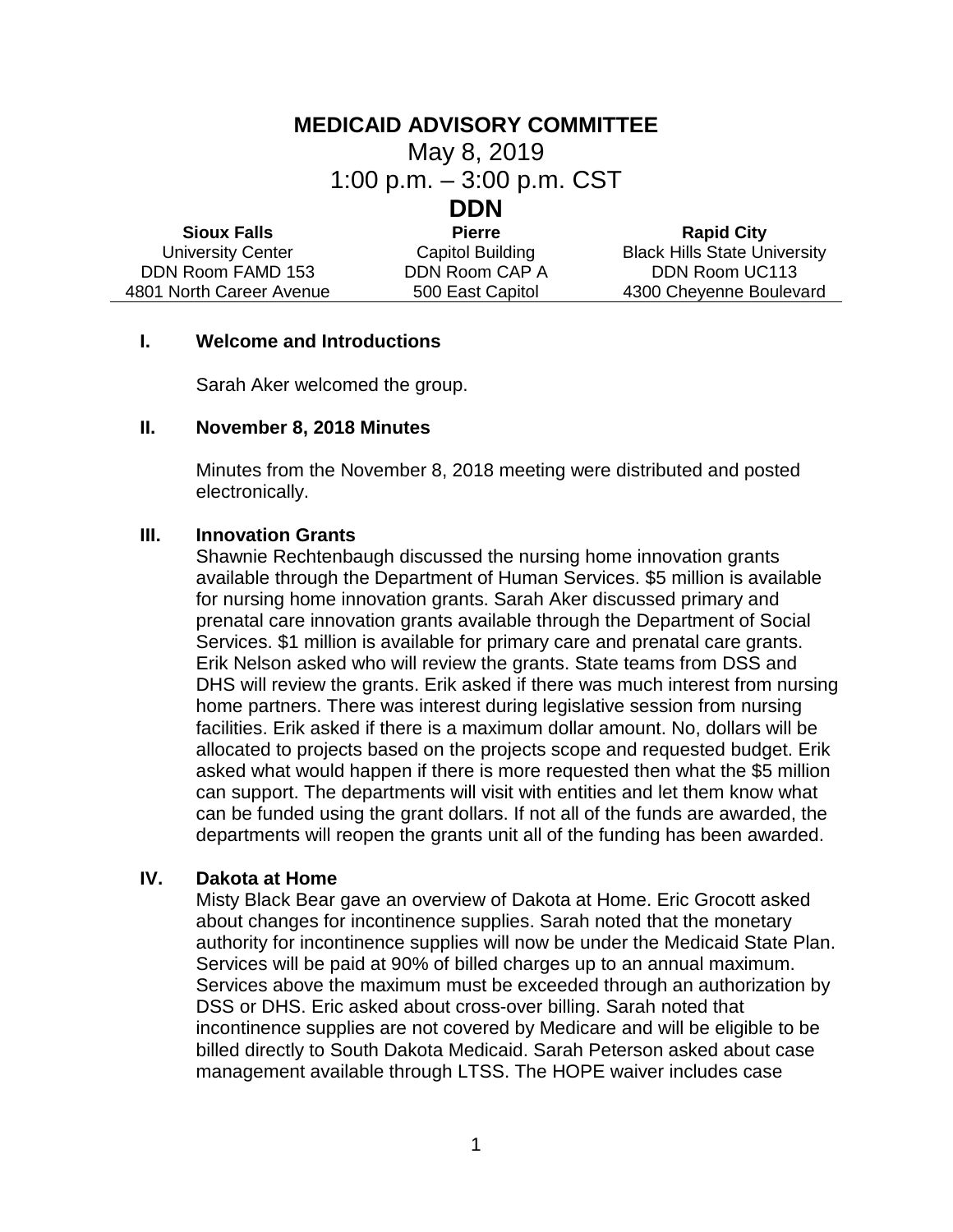### **MEDICAID ADVISORY COMMITTEE**

May 8, 2019

1:00 p.m. – 3:00 p.m. CST

# **DDN**

| <b>Sioux Falls</b>       | <b>Pierre</b>           | <b>Rapid City</b>                   |
|--------------------------|-------------------------|-------------------------------------|
| <b>University Center</b> | <b>Capitol Building</b> | <b>Black Hills State University</b> |
| DDN Room FAMD 153        | DDN Room CAP A          | DDN Room UC113                      |
| 4801 North Career Avenue | 500 East Capitol        | 4300 Cheyenne Boulevard             |

#### **I. Welcome and Introductions**

Sarah Aker welcomed the group.

#### **II. November 8, 2018 Minutes**

Minutes from the November 8, 2018 meeting were distributed and posted electronically.

#### **III. Innovation Grants**

Shawnie Rechtenbaugh discussed the nursing home innovation grants available through the Department of Human Services. \$5 million is available for nursing home innovation grants. Sarah Aker discussed primary and prenatal care innovation grants available through the Department of Social Services. \$1 million is available for primary care and prenatal care grants. Erik Nelson asked who will review the grants. State teams from DSS and DHS will review the grants. Erik asked if there was much interest from nursing home partners. There was interest during legislative session from nursing facilities. Erik asked if there is a maximum dollar amount. No, dollars will be allocated to projects based on the projects scope and requested budget. Erik asked what would happen if there is more requested then what the \$5 million can support. The departments will visit with entities and let them know what can be funded using the grant dollars. If not all of the funds are awarded, the departments will reopen the grants unit all of the funding has been awarded.

### **IV. Dakota at Home**

Misty Black Bear gave an overview of Dakota at Home. Eric Grocott asked about changes for incontinence supplies. Sarah noted that the monetary authority for incontinence supplies will now be under the Medicaid State Plan. Services will be paid at 90% of billed charges up to an annual maximum. Services above the maximum must be exceeded through an authorization by DSS or DHS. Eric asked about cross-over billing. Sarah noted that incontinence supplies are not covered by Medicare and will be eligible to be billed directly to South Dakota Medicaid. Sarah Peterson asked about case management available through LTSS. The HOPE waiver includes case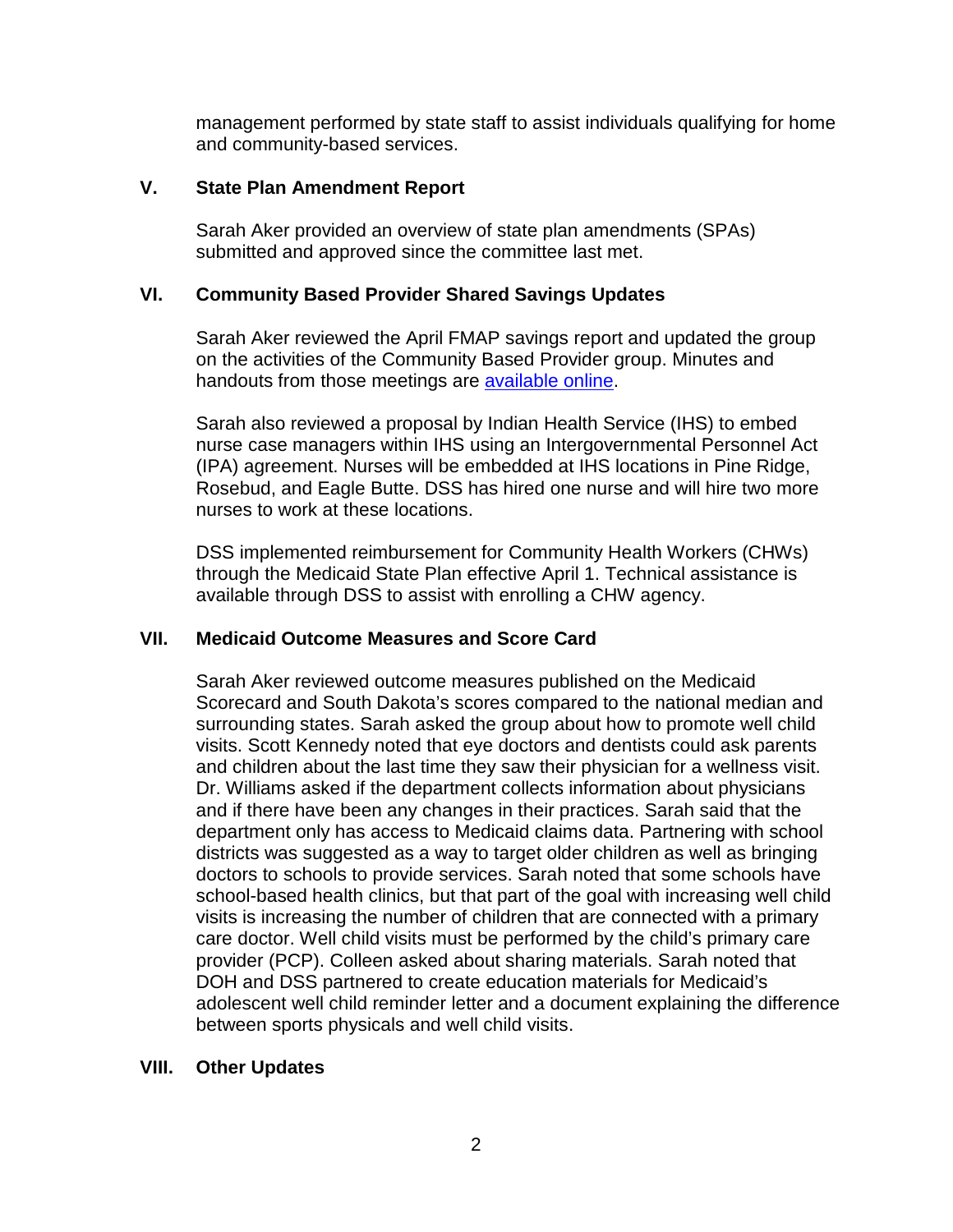management performed by state staff to assist individuals qualifying for home and community-based services.

### **V. State Plan Amendment Report**

Sarah Aker provided an overview of state plan amendments (SPAs) submitted and approved since the committee last met.

### **VI. Community Based Provider Shared Savings Updates**

Sarah Aker reviewed the April FMAP savings report and updated the group on the activities of the Community Based Provider group. Minutes and handouts from those meetings are [available online.](https://boardsandcommissions.sd.gov/Meetings.aspx?BoardID=224)

Sarah also reviewed a proposal by Indian Health Service (IHS) to embed nurse case managers within IHS using an Intergovernmental Personnel Act (IPA) agreement. Nurses will be embedded at IHS locations in Pine Ridge, Rosebud, and Eagle Butte. DSS has hired one nurse and will hire two more nurses to work at these locations.

DSS implemented reimbursement for Community Health Workers (CHWs) through the Medicaid State Plan effective April 1. Technical assistance is available through DSS to assist with enrolling a CHW agency.

## **VII. Medicaid Outcome Measures and Score Card**

Sarah Aker reviewed outcome measures published on the Medicaid Scorecard and South Dakota's scores compared to the national median and surrounding states. Sarah asked the group about how to promote well child visits. Scott Kennedy noted that eye doctors and dentists could ask parents and children about the last time they saw their physician for a wellness visit. Dr. Williams asked if the department collects information about physicians and if there have been any changes in their practices. Sarah said that the department only has access to Medicaid claims data. Partnering with school districts was suggested as a way to target older children as well as bringing doctors to schools to provide services. Sarah noted that some schools have school-based health clinics, but that part of the goal with increasing well child visits is increasing the number of children that are connected with a primary care doctor. Well child visits must be performed by the child's primary care provider (PCP). Colleen asked about sharing materials. Sarah noted that DOH and DSS partnered to create education materials for Medicaid's adolescent well child reminder letter and a document explaining the difference between sports physicals and well child visits.

### **VIII. Other Updates**